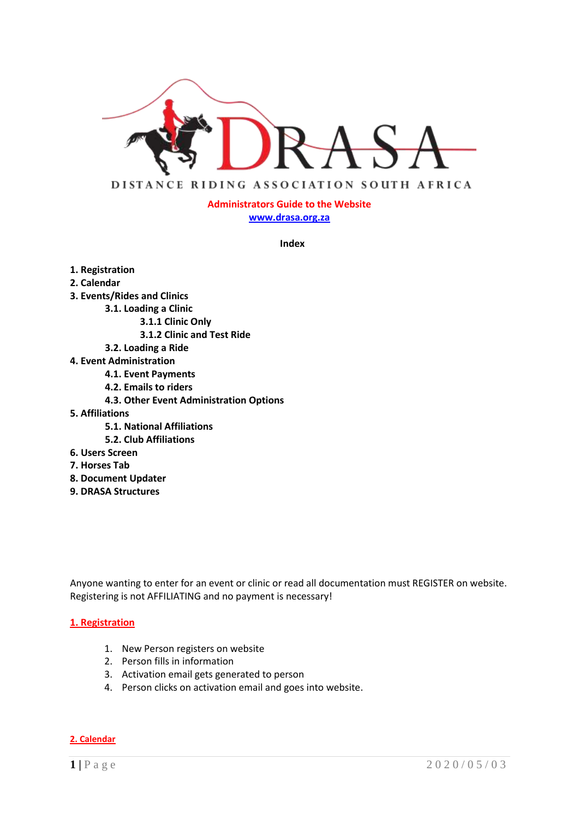

# **Administrators Guide to the Website [www.drasa.org.za](http://www.drasa.org.za/)**

**Index**

- **1. Registration**
- **2. Calendar**
- **3. Events/Rides and Clinics**
	- **3.1. Loading a Clinic**
		- **3.1.1 Clinic Only**
		- **3.1.2 Clinic and Test Ride**
	- **3.2. Loading a Ride**
- **4. Event Administration**
	- **4.1. Event Payments**
	- **4.2. Emails to riders**
	- **4.3. Other Event Administration Options**
- **5. Affiliations**
	- **5.1. National Affiliations**
	- **5.2. Club Affiliations**
- **6. Users Screen**
- **7. Horses Tab**
- **8. Document Updater**
- **9. DRASA Structures**

Anyone wanting to enter for an event or clinic or read all documentation must REGISTER on website. Registering is not AFFILIATING and no payment is necessary!

#### **1. Registration**

- 1. New Person registers on website
- 2. Person fills in information
- 3. Activation email gets generated to person
- 4. Person clicks on activation email and goes into website.
- **2. Calendar**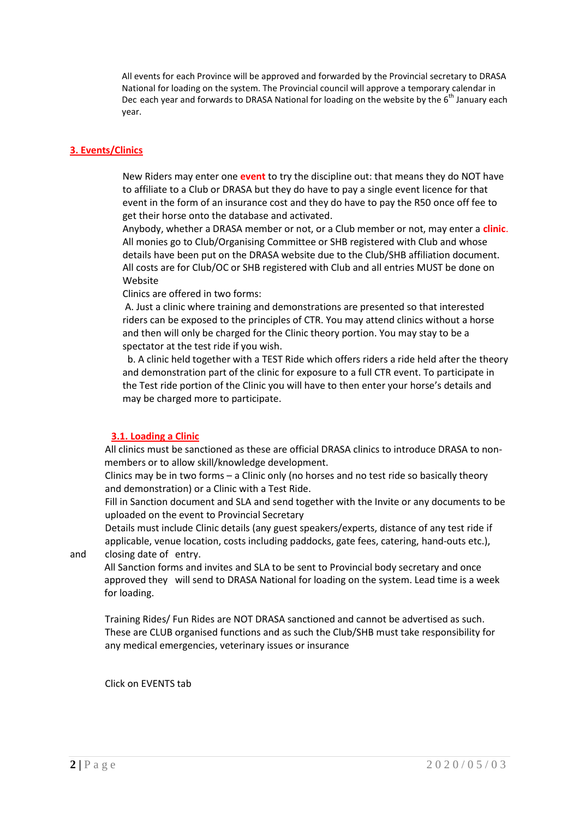All events for each Province will be approved and forwarded by the Provincial secretary to DRASA National for loading on the system. The Provincial council will approve a temporary calendar in Dec each year and forwards to DRASA National for loading on the website by the  $6<sup>th</sup>$  January each year.

# **3. Events/Clinics**

New Riders may enter one **event** to try the discipline out: that means they do NOT have to affiliate to a Club or DRASA but they do have to pay a single event licence for that event in the form of an insurance cost and they do have to pay the R50 once off fee to get their horse onto the database and activated.

Anybody, whether a DRASA member or not, or a Club member or not, may enter a **clinic**. All monies go to Club/Organising Committee or SHB registered with Club and whose details have been put on the DRASA website due to the Club/SHB affiliation document. All costs are for Club/OC or SHB registered with Club and all entries MUST be done on Website

Clinics are offered in two forms:

A. Just a clinic where training and demonstrations are presented so that interested riders can be exposed to the principles of CTR. You may attend clinics without a horse and then will only be charged for the Clinic theory portion. You may stay to be a spectator at the test ride if you wish.

 b. A clinic held together with a TEST Ride which offers riders a ride held after the theory and demonstration part of the clinic for exposure to a full CTR event. To participate in the Test ride portion of the Clinic you will have to then enter your horse's details and may be charged more to participate.

# **3.1. Loading a Clinic**

All clinics must be sanctioned as these are official DRASA clinics to introduce DRASA to nonmembers or to allow skill/knowledge development.

Clinics may be in two forms – a Clinic only (no horses and no test ride so basically theory and demonstration) or a Clinic with a Test Ride.

Fill in Sanction document and SLA and send together with the Invite or any documents to be uploaded on the event to Provincial Secretary

Details must include Clinic details (any guest speakers/experts, distance of any test ride if applicable, venue location, costs including paddocks, gate fees, catering, hand-outs etc.), and closing date of entry.

All Sanction forms and invites and SLA to be sent to Provincial body secretary and once approved they will send to DRASA National for loading on the system. Lead time is a week for loading.

Training Rides/ Fun Rides are NOT DRASA sanctioned and cannot be advertised as such. These are CLUB organised functions and as such the Club/SHB must take responsibility for any medical emergencies, veterinary issues or insurance

Click on EVENTS tab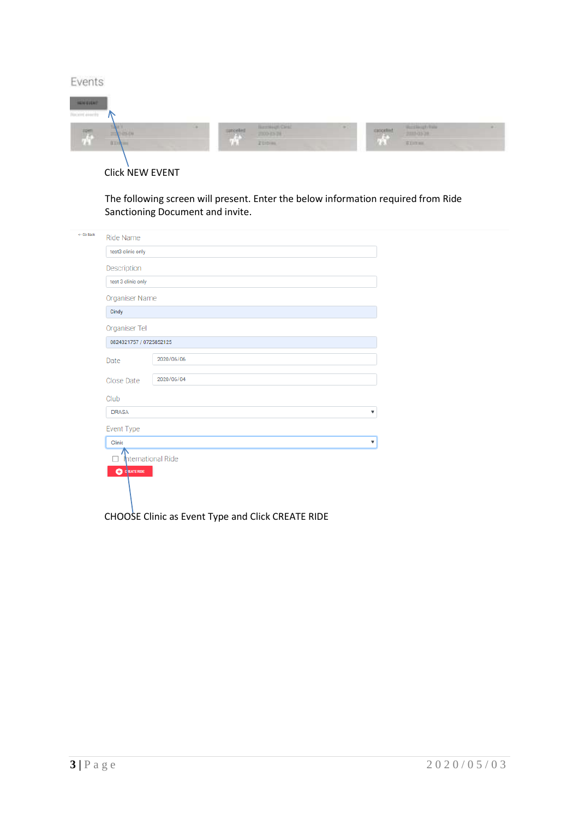| Events                                              |                                              |       |             |                                    |  |
|-----------------------------------------------------|----------------------------------------------|-------|-------------|------------------------------------|--|
| <b>SOVEDNE</b><br>Weiserd execute                   |                                              |       |             |                                    |  |
| ۰<br>$\overline{\mathcal{H}}$<br>$\rightarrow$ 0.00 | <b>Barringh Card</b><br>$\frac{1}{\sqrt{2}}$ | 40.00 | stationline | <b>Beechout this</b><br>2009/05/28 |  |
| BEIN                                                | 20mm                                         |       | <b>Lis.</b> | <b>WEIGHT</b>                      |  |

# Click NEW EVENT

The following screen will present. Enter the below information required from Ride Sanctioning Document and invite.

| <- Go Back | Ride Name               |                                                   |
|------------|-------------------------|---------------------------------------------------|
|            | test3 clinic only       |                                                   |
|            | Description             |                                                   |
|            | test 3 clinic only      |                                                   |
|            | Organiser Name          |                                                   |
|            | Cindy                   |                                                   |
|            | Organiser Tel           |                                                   |
|            | 0824321757 / 0725852125 |                                                   |
|            | Date                    | 2020/06/06                                        |
|            | Close Date              | 2020/06/04                                        |
|            | Club                    |                                                   |
|            | <b>DRASA</b>            | $\boldsymbol{\mathrm{v}}$                         |
|            | Event Type              |                                                   |
|            | Clinic                  | ▼                                                 |
|            | hternational Ride       |                                                   |
|            | <b>CO</b> CREATE RIDE   |                                                   |
|            |                         |                                                   |
|            |                         | CHOOSE Clinic as Event Type and Click CREATE RIDE |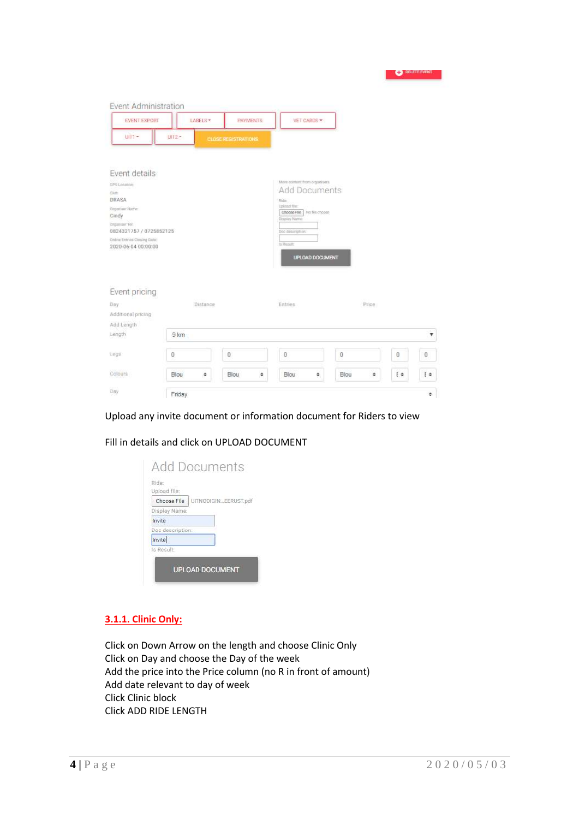| <b>EVENT EXPORT</b>                                 | LABELS*   | <b>PAYMENTS:</b>           | VET CARDS -                                    |           |          |          |
|-----------------------------------------------------|-----------|----------------------------|------------------------------------------------|-----------|----------|----------|
| $U(1 -$                                             | UH2+      | <b>CLOSE REGISTRATIONS</b> |                                                |           |          |          |
| Event details                                       |           |                            |                                                |           |          |          |
| CIPS Location:<br>Club                              |           |                            | More contunt from organizers.<br>Add Documents |           |          |          |
| DRASA                                               |           |                            | <b>Ride:</b>                                   |           |          |          |
| Groomber Name:<br>Cindy                             |           |                            | Upinad flies<br>Choose File   No fills choose  |           |          |          |
| Cinganisar Tol:                                     |           |                            | Display Name:                                  |           |          |          |
| 0824321757 / 0725852125                             |           |                            | Doc designition.                               |           |          |          |
| Online Entrins Cloning Date:<br>2020-06-04 00:00:00 |           |                            | ts Result                                      |           |          |          |
|                                                     |           |                            | UPLOAD DOCUMENT                                |           |          |          |
| Event pricing                                       |           |                            |                                                |           |          |          |
| Day.                                                | Distance  |                            | Entries                                        | Price     |          |          |
| Additional pricing                                  |           |                            |                                                |           |          |          |
| Add Length                                          |           |                            |                                                |           |          |          |
| Length                                              | 9 km      |                            |                                                |           |          | v        |
| tegs                                                | 0         | 0                          | O                                              | $\theta$  | $\theta$ | $\,0\,$  |
| Colours                                             | Blou<br>٠ | Blou<br>٠                  | Blou<br>٠                                      | Blou<br>٠ | Ee       | $E \Phi$ |
|                                                     |           |                            |                                                |           |          |          |

### Upload any invite document or information document for Riders to view

# Fill in details and click on UPLOAD DOCUMENT

|                  | Choose File   UITNODIGINEERUST.pdf |
|------------------|------------------------------------|
| Display Name:    |                                    |
| Invite           |                                    |
| Doc description: |                                    |
| Invite           |                                    |
| ls Result:       |                                    |

# **3.1.1. Clinic Only:**

Click on Down Arrow on the length and choose Clinic Only Click on Day and choose the Day of the week Add the price into the Price column (no R in front of amount) Add date relevant to day of week Click Clinic block Click ADD RIDE LENGTH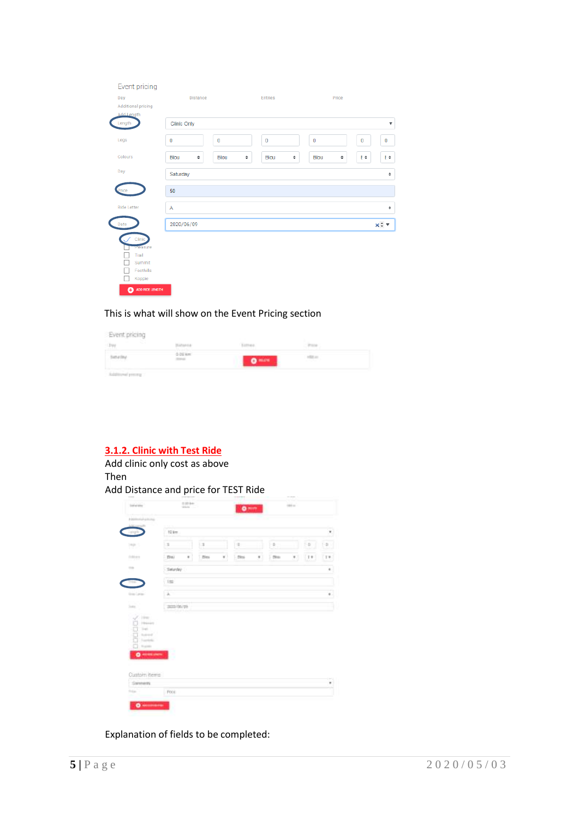| Event pricing<br>Day<br><b>Additional pricing</b>                                           | Distance    |                  | <b>Entries</b> |      | Price   |                           |
|---------------------------------------------------------------------------------------------|-------------|------------------|----------------|------|---------|---------------------------|
| <b>Add Length</b><br>Length                                                                 | Clinic Only |                  |                |      |         | $\boldsymbol{\mathrm{v}}$ |
| Legs                                                                                        | $\bf{0}$    | $\bf{0}$         | $\mathbf{0}$   | 0    | 0       | $\bf{0}$                  |
| Colours                                                                                     | Blou<br>٠   | <b>Blou</b><br>٠ | Blou<br>٠      | Blou | Ε¢<br>٠ | Е¢                        |
| Day                                                                                         | Saturday    |                  |                |      |         | ٠                         |
|                                                                                             | 50          |                  |                |      |         |                           |
| <b>Ride Letter</b>                                                                          | A           |                  |                |      |         | ٠                         |
| Date                                                                                        | 2020/06/09  |                  |                |      |         | x : v                     |
| Clinic<br><b>Preasure</b><br>Trail<br>Summit<br>Foothills<br>Koppie<br>ADD RIDE LENGTH<br>٥ |             |                  |                |      |         |                           |

# This is what will show on the Event Pricing section

| Event pricing            |                           |                 |                          |  |
|--------------------------|---------------------------|-----------------|--------------------------|--|
| <b>Service</b><br>$-$ PH | Instance                  | <b>TATIMA</b>   | $-0.111$                 |  |
| Simur(My)                | 0.01 km<br><b>Service</b> | 0 <sup>mm</sup> | $+011$<br><b>Service</b> |  |
| Subtrained precent       |                           |                 |                          |  |

# **3.1.2. Clinic with Test Ride**

# Add clinic only cost as above Then Add Distance and price for TEST Ride

| Additional gallery                                                                                                                                           |                  |               |    |          |    |          |    |                                                                                                                                                                                                                                                                                                                                                                                                                      |                |
|--------------------------------------------------------------------------------------------------------------------------------------------------------------|------------------|---------------|----|----------|----|----------|----|----------------------------------------------------------------------------------------------------------------------------------------------------------------------------------------------------------------------------------------------------------------------------------------------------------------------------------------------------------------------------------------------------------------------|----------------|
| <b>Literature</b>                                                                                                                                            | ia.<br>12 km     |               |    |          |    |          |    |                                                                                                                                                                                                                                                                                                                                                                                                                      | ×              |
| Delight                                                                                                                                                      |                  |               |    |          |    |          |    |                                                                                                                                                                                                                                                                                                                                                                                                                      |                |
| pp.)                                                                                                                                                         | ìз               | ïз            |    | i se     |    | $\alpha$ |    | $[-D]$                                                                                                                                                                                                                                                                                                                                                                                                               | 댼              |
| MH                                                                                                                                                           | ٠<br><b>Dist</b> | $\frac{1}{2}$ | ¥. | $1.20 +$ | ¥. | $-204$   | M. | $[11] \centering% \includegraphics[width=0.8\textwidth]{Figures/PD11.png} \caption{The 1000 of the 1000 of the 1000 of the 1000 of the 1000 of the 1000 of the 1000 of the 1000 of the 1000 of the 1000 of the 1000 of the 1000 of the 1000 of the 1000 of the 1000 of the 1000 of the 1000 of the 1000 of the 1000 of the 1000 of the 1000 of the 1000 of the 1000 of the 1000 of the 1000 of the 1000 of the 1000$ | $(1 +$         |
| $\rightarrow$                                                                                                                                                | Setunday         |               |    |          |    |          |    |                                                                                                                                                                                                                                                                                                                                                                                                                      | $\bullet$      |
|                                                                                                                                                              | 152              |               |    |          |    |          |    |                                                                                                                                                                                                                                                                                                                                                                                                                      |                |
| tion Learn                                                                                                                                                   | Lik.             |               |    |          |    |          |    |                                                                                                                                                                                                                                                                                                                                                                                                                      | $\mathbf{e}$ . |
| Sold in                                                                                                                                                      | 2005/05/29       |               |    |          |    |          |    |                                                                                                                                                                                                                                                                                                                                                                                                                      |                |
| $\begin{array}{ l } \hline \text{propos} \\ \hline \text{if if if} \end{array}$<br>Holiday<br>harmal.<br>Transferênci<br>Training<br>$0 - 1$<br>Custom items | ٦                |               |    |          |    |          |    |                                                                                                                                                                                                                                                                                                                                                                                                                      |                |
| Simment                                                                                                                                                      |                  |               |    |          |    |          |    |                                                                                                                                                                                                                                                                                                                                                                                                                      | ×              |
| <b>Tripped</b>                                                                                                                                               | Poor             |               |    |          |    |          |    |                                                                                                                                                                                                                                                                                                                                                                                                                      |                |

Explanation of fields to be completed: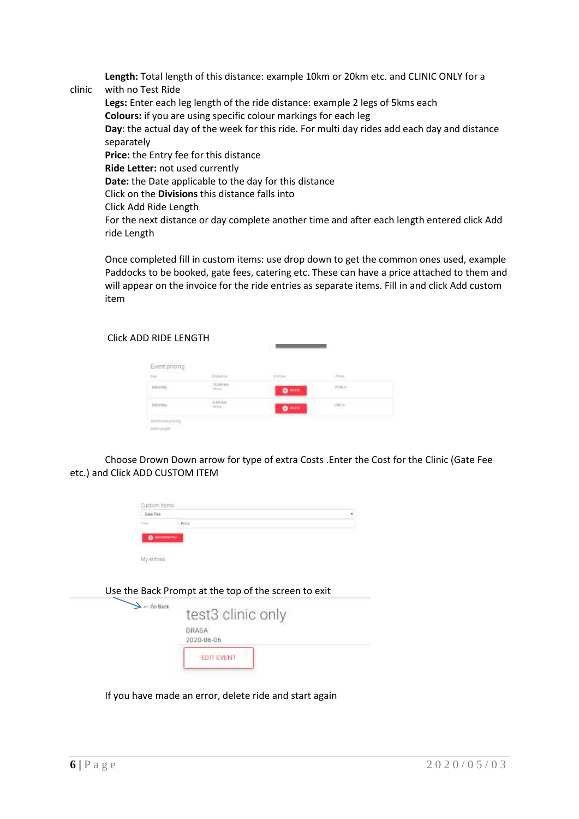**Length:** Total length of this distance: example 10km or 20km etc. and CLINIC ONLY for a

clinic with no Test Ride **Legs:** Enter each leg length of the ride distance: example 2 legs of 5kms each **Colours:** if you are using specific colour markings for each leg **Day**: the actual day of the week for this ride. For multi day rides add each day and distance separately **Price:** the Entry fee for this distance **Ride Letter:** not used currently **Date:** the Date applicable to the day for this distance Click on the **Divisions** this distance falls into Click Add Ride Length For the next distance or day complete another time and after each length entered click Add ride Length

Once completed fill in custom items: use drop down to get the common ones used, example Paddocks to be booked, gate fees, catering etc. These can have a price attached to them and will appear on the invoice for the ride entries as separate items. Fill in and click Add custom item

Click ADD RIDE LENGTH

| $\begin{array}{l} \text{Event pricing} \\ \text{for} \end{array}$ | <b>Historica</b>   | Emilia          | Free     |  |
|-------------------------------------------------------------------|--------------------|-----------------|----------|--|
| <b>Parado</b>                                                     | $10.00 \text{ km}$ | 0 <sup>mm</sup> | $1180 -$ |  |
| Telemin                                                           | $0.001$ W/H        | O               | yaye     |  |

Choose Drown Down arrow for type of extra Costs .Enter the Cost for the Clinic (Gate Fee etc.) and Click ADD CUSTOM ITEM

| $-5$ o Back | test3 clinic only   |
|-------------|---------------------|
|             | DRASA<br>2020-06-06 |
|             | EDIT EVENT          |

Use the Back Prompt at the top of the screen to exit

If you have made an error, delete ride and start again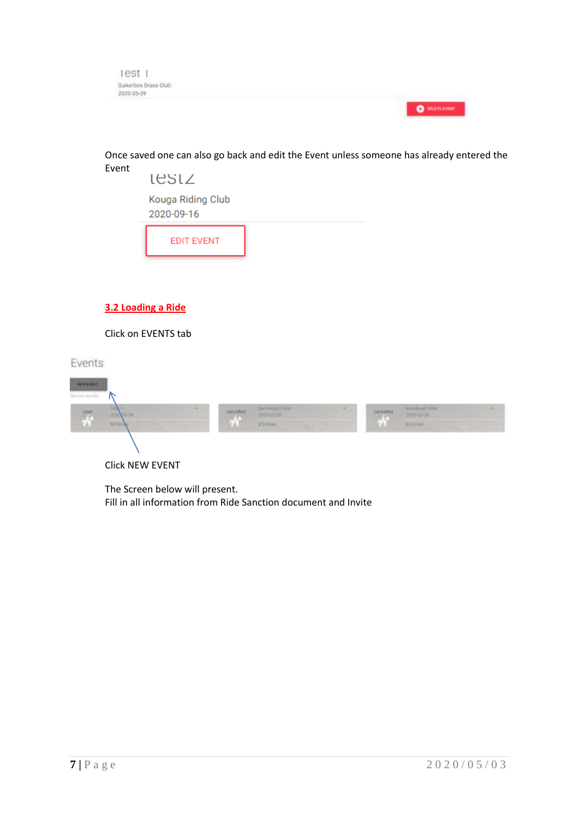

Once saved one can also go back and edit the Event unless someone has already entered the Event



Click on EVENTS tab

Events

| <b>WALKER</b>            |                           |  |                 |                       |       |             |                                     |  |
|--------------------------|---------------------------|--|-----------------|-----------------------|-------|-------------|-------------------------------------|--|
| Weiser events            |                           |  |                 |                       |       |             |                                     |  |
| $\overline{\mathcal{N}}$ | ТÞА<br><b>PS-EM</b><br>22 |  | surcelled<br>99 | <b>Barringh Ciril</b> | 49.71 | stationhied | <b>Buckleady Bale</b><br>2000/05/28 |  |
|                          | <b>BEITING</b>            |  | ūШ              | Zümm.                 |       | Kö.         | <b>EDITER</b>                       |  |
|                          |                           |  |                 |                       |       |             |                                     |  |
|                          |                           |  |                 |                       |       |             |                                     |  |

Click NEW EVENT

The Screen below will present. Fill in all information from Ride Sanction document and Invite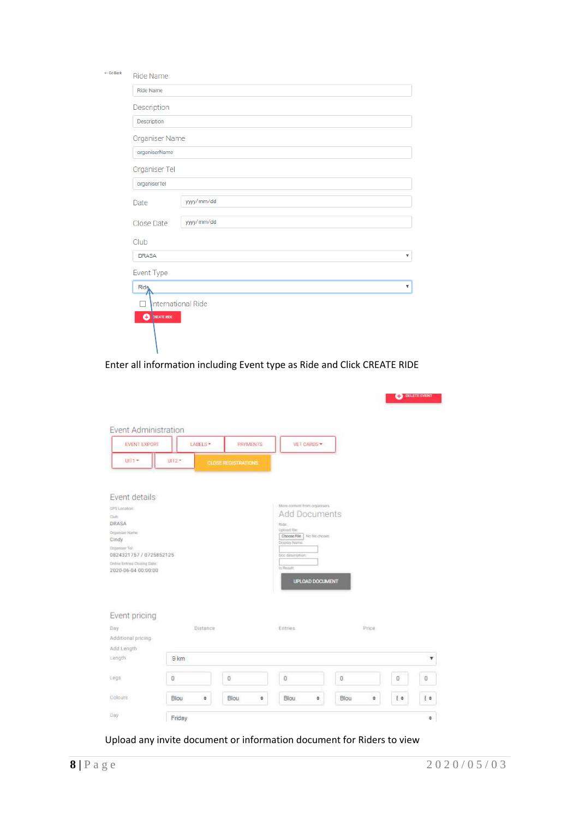| <- Go Back | Ride Name                |  |  |  |  |  |  |
|------------|--------------------------|--|--|--|--|--|--|
|            | <b>Ride Name</b>         |  |  |  |  |  |  |
|            | Description              |  |  |  |  |  |  |
|            | Description              |  |  |  |  |  |  |
|            | Organiser Name           |  |  |  |  |  |  |
|            | organiserName            |  |  |  |  |  |  |
|            | Organiser Tel            |  |  |  |  |  |  |
|            | organiserTel             |  |  |  |  |  |  |
|            | yyyy/mm/dd<br>Date       |  |  |  |  |  |  |
|            | yyyy/mm/dd<br>Close Date |  |  |  |  |  |  |
|            | Club                     |  |  |  |  |  |  |
|            | <b>DRASA</b><br>v        |  |  |  |  |  |  |
|            | Event Type               |  |  |  |  |  |  |
|            | <b>Ride</b><br>۷.        |  |  |  |  |  |  |
|            | International Ride       |  |  |  |  |  |  |
|            | <b>O</b> PREATE RIDE     |  |  |  |  |  |  |
|            |                          |  |  |  |  |  |  |
|            |                          |  |  |  |  |  |  |

# Enter all information including Event type as Ride and Click CREATE RIDE

|                                                         |           |                            |                                                |           |    | <b>C</b> DELETE EVENT |
|---------------------------------------------------------|-----------|----------------------------|------------------------------------------------|-----------|----|-----------------------|
| Event Administration<br><b>EVENT EXPORT</b>             | LABELS*   | <b>PAYMENTS:</b>           | VET CARDS -                                    |           |    |                       |
| U(T)                                                    | UH2+      | <b>CLOSE REGISTRATIONS</b> |                                                |           |    |                       |
| Event details                                           |           |                            |                                                |           |    |                       |
| CIPS Location                                           |           |                            | Mara contunt from organizers.<br>Add Documents |           |    |                       |
| Club<br>DRASA                                           |           |                            | <b>Ride:</b>                                   |           |    |                       |
| Groomher Name:<br>Cindy                                 |           |                            | Uniond flier<br>Choose File   No file chosen   |           |    |                       |
| Cinganisor Tol:                                         |           |                            | Display Name                                   |           |    |                       |
| 0824321757 / 0725852125<br>Online Entrins Cloning Date: |           |                            | Doc description:                               |           |    |                       |
| 2020-06-04 00:00:00                                     |           |                            | to Require                                     |           |    |                       |
|                                                         |           |                            | UPLOAD DOCUMENT                                |           |    |                       |
| Event pricing                                           |           |                            |                                                |           |    |                       |
| <b>Day</b>                                              | Distance  |                            | Entries                                        | Price:    |    |                       |
| Additional pricing                                      |           |                            |                                                |           |    |                       |
| Add Length                                              |           |                            |                                                |           |    |                       |
| Length                                                  | 9 km      |                            |                                                |           |    | v                     |
| tegs                                                    | 0         | 0                          | Ũ                                              | 0         | 0  | $\mathbf 0$           |
| Colours                                                 | Blou<br>٠ | Blou<br>٠                  | Blou<br>٠                                      | Blou<br>٠ | Ee | E                     |
| Day                                                     | Friday    |                            |                                                |           |    | ٠                     |

Upload any invite document or information document for Riders to view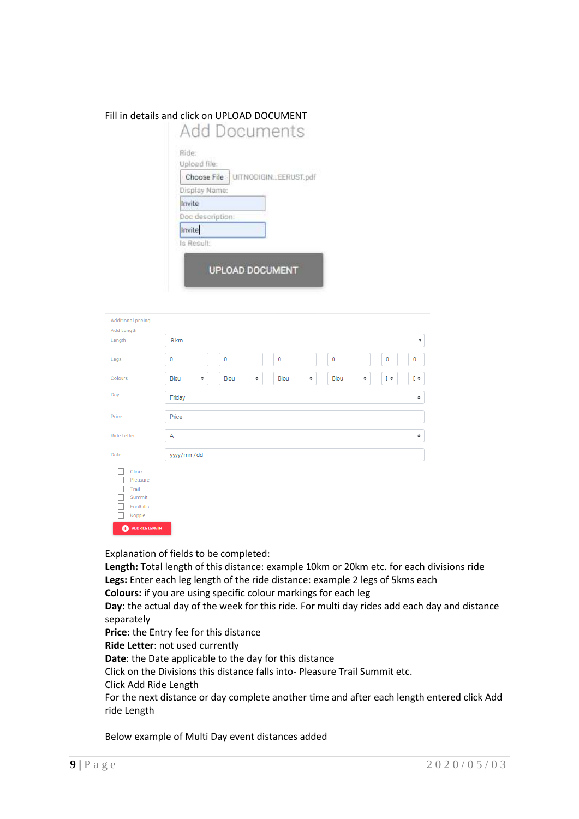# Fill in details and click on UPLOAD DOCUMENT

| Upload file: | Choose File      | UITNODIGINEERUST.pdf |  |
|--------------|------------------|----------------------|--|
|              | Display Name:    |                      |  |
| Invite       |                  |                      |  |
|              | Doc description: |                      |  |
| Invite       |                  |                      |  |
| ls Result:   |                  |                      |  |

| Additional pricing<br>Add Length                                                       |                                                              |
|----------------------------------------------------------------------------------------|--------------------------------------------------------------|
| Length                                                                                 | 9 km<br>$\boldsymbol{\mathrm{v}}$                            |
| Legs                                                                                   | 0<br>$\bf{0}$<br>$\bf{0}$<br>0<br>0<br>0                     |
| Colours                                                                                | E≑<br>Blou<br>Blou<br>Blou<br>E≑<br>٠<br>Blou<br>٠<br>٠<br>÷ |
| Day                                                                                    | Friday<br>٠                                                  |
| Price                                                                                  | Price                                                        |
| Ride Letter                                                                            | Α<br>٠                                                       |
| Date                                                                                   | yyyy/mm/dd                                                   |
| Clinic<br>Pleasure<br>Trail<br>Summit<br>Foothills<br>Koppie<br><b>Channon</b> channel |                                                              |

Explanation of fields to be completed:

**Length:** Total length of this distance: example 10km or 20km etc. for each divisions ride **Legs:** Enter each leg length of the ride distance: example 2 legs of 5kms each **Colours:** if you are using specific colour markings for each leg

**Day:** the actual day of the week for this ride. For multi day rides add each day and distance separately

**Price:** the Entry fee for this distance

**Ride Letter**: not used currently

**Date**: the Date applicable to the day for this distance

Click on the Divisions this distance falls into- Pleasure Trail Summit etc.

Click Add Ride Length

For the next distance or day complete another time and after each length entered click Add ride Length

Below example of Multi Day event distances added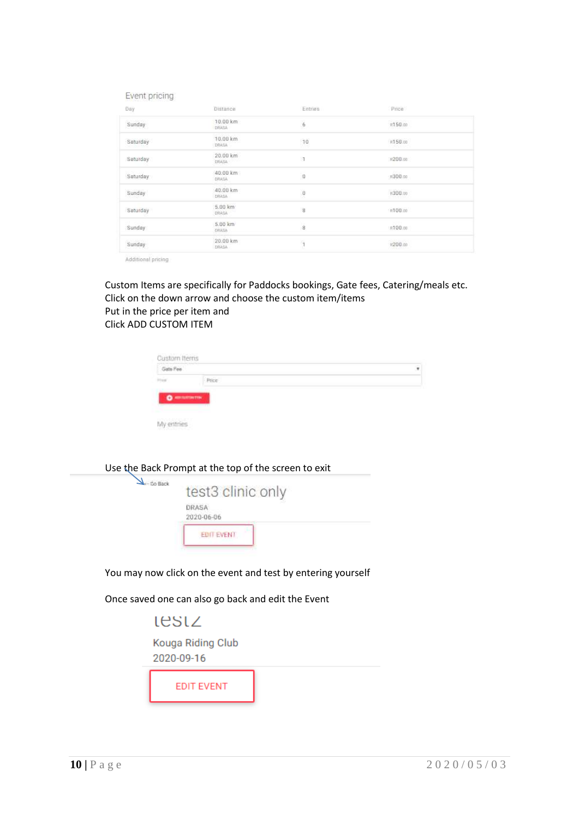| Event pricing |                         |              |         |
|---------------|-------------------------|--------------|---------|
| Day           | Distance                | Entries      | Price   |
| Sunday        | 10.00 km<br>DRASA       | 6            | R150.00 |
| Saturday      | 10.00 km<br>DRASA       | 10           | R150.00 |
| Saturday      | 20.00 km<br>DRASA -     | 1            | P200.00 |
| Saturday      | 40.00 km<br>小さま店へ       | $\mathbf{0}$ | R300.00 |
| Sunday        | 40.00 km<br>DRASA       | O            | R300.00 |
| Saturday      | 5.00 km<br>DRASA        | g            | R100.00 |
| Sunday        | 5.00 km<br><b>URASA</b> | 8            | R100.00 |
| Sunday        | 20.00 km<br>DRASA       | т            | n200m   |
|               |                         |              |         |

Additional pricing

Custom Items are specifically for Paddocks bookings, Gate fees, Catering/meals etc. Click on the down arrow and choose the custom item/items Put in the price per item and Click ADD CUSTOM ITEM

| Custom Items<br>Gate Fee |                       | ٠ |
|--------------------------|-----------------------|---|
| <b>Integrat</b>          | <b>Price</b>          |   |
|                          |                       |   |
|                          | $\bullet$ = $\bullet$ |   |

My entries



Once saved one can also go back and edit the Event

lestz Kouga Riding Club 2020-09-16 **EDIT EVENT**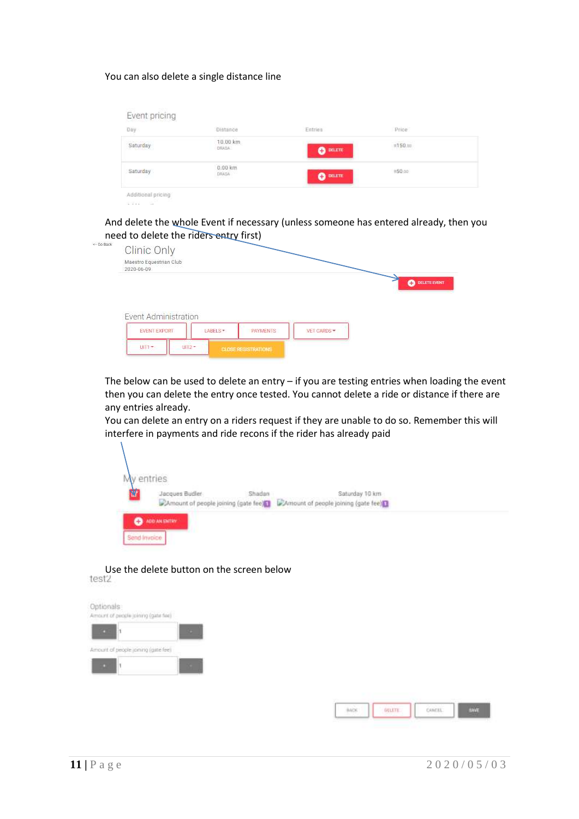#### You can also delete a single distance line

anna af

| Day      | Distance                   | Entries          | Price                                   |
|----------|----------------------------|------------------|-----------------------------------------|
| Saturday | 10.00 km<br>DRAIL          | $\bullet$ DELETE | $\frac{1}{10}$ 150 m<br><u>Thermann</u> |
| Saturday | 0.00 km<br>DRASA<br>1등가정하다 | <b>CONTROL</b>   | #50.00                                  |

And delete the whole Event if necessary (unless someone has entered already, then you need to delete the riders entry first)

| $\leftarrow$ Do Back | <b>Clinic Only</b>                    |          |                 |           |                   |
|----------------------|---------------------------------------|----------|-----------------|-----------|-------------------|
|                      | Maestro Equestrian Club<br>2020-06-09 |          |                 |           |                   |
|                      |                                       |          |                 |           | DELETE EVENT<br>A |
|                      |                                       |          |                 |           |                   |
|                      |                                       |          |                 |           |                   |
|                      |                                       |          |                 |           |                   |
|                      | Event Administration                  |          |                 |           |                   |
|                      | EVENT EXPORT                          | LABELS * | <b>PAYMENTS</b> | VET CARDS |                   |

The below can be used to delete an entry  $-$  if you are testing entries when loading the event then you can delete the entry once tested. You cannot delete a ride or distance if there are any entries already.

You can delete an entry on a riders request if they are unable to do so. Remember this will interfere in payments and ride recons if the rider has already paid

| entries |                                                        |        |                                                       |  |
|---------|--------------------------------------------------------|--------|-------------------------------------------------------|--|
| μ       | Jacques Budler<br>CAmount of people joining (gate fee) | Shadan | Saturday 10 km<br>Amount of people joining (gate fee) |  |

Use the delete button on the screen below<br>test2

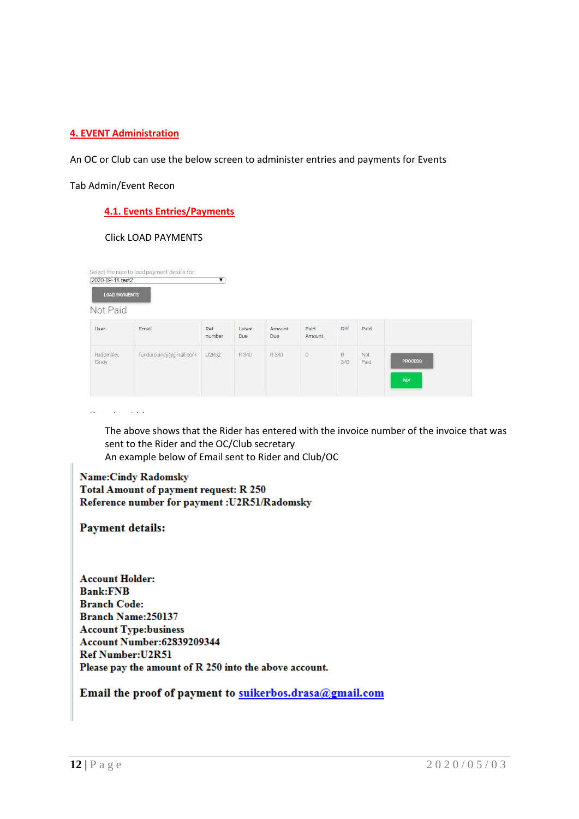# **4. EVENT Administration**

An OC or Club can use the below screen to administer entries and payments for Events

Tab Admin/Event Recon

# **4.1. Events Entries/Payments**

#### Click LOAD PAYMENTS

| <b>LOAD PAYMENTS</b> |                        |               |               |                |                 |                     |             |                |
|----------------------|------------------------|---------------|---------------|----------------|-----------------|---------------------|-------------|----------------|
| Not Paid             |                        |               |               |                |                 |                     |             |                |
| User                 | Email                  | Ref<br>number | Latest<br>Due | Amount<br>Due: | Paid<br>Amount. | Diff                | Paid        |                |
| Radomsky,<br>Ciridy  | fundurocindy@gmail.com | U2R52         | R 340<br>men  | R 340          | $\alpha$        | $\mathsf{R}$<br>340 | Not<br>Paid | <b>PROCESS</b> |

 $\mathbf{w}$  and  $\mathbf{w}$  are  $\mathbf{w}$  . The second second second

The above shows that the Rider has entered with the invoice number of the invoice that was sent to the Rider and the OC/Club secretary An example below of Email sent to Rider and Club/OC

# **Name:Cindy Radomsky Total Amount of payment request: R 250** Reference number for payment : U2R51/Radomsky

# **Payment details:**

**Account Holder: Bank:FNB Branch Code:** Branch Name: 250137 **Account Type:business Account Number:62839209344 Ref Number: U2R51** Please pay the amount of R 250 into the above account.

# Email the proof of payment to suikerbos.drasa@gmail.com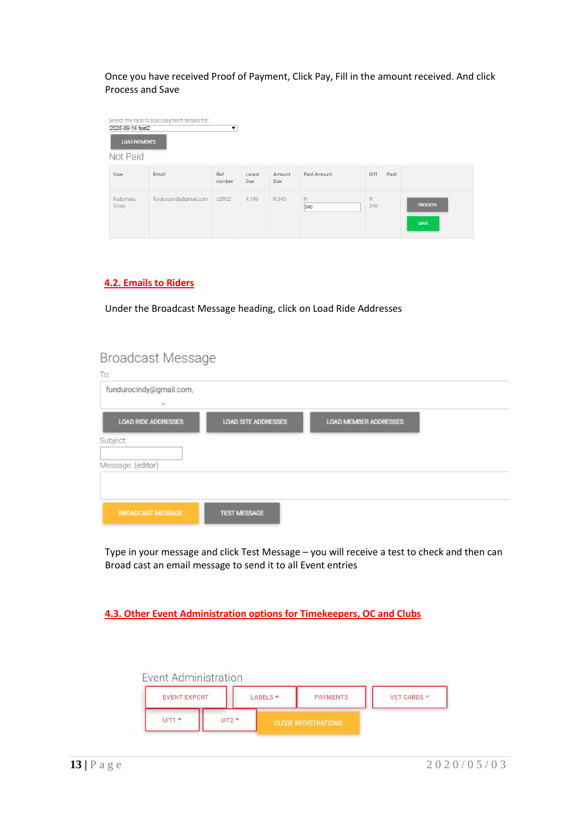Once you have received Proof of Payment, Click Pay, Fill in the amount received. And click Process and Save

| <b>LOAD PAYMENTS</b> |                        |               |                        |                       |             |      |      |                |
|----------------------|------------------------|---------------|------------------------|-----------------------|-------------|------|------|----------------|
| Not Paid             |                        |               |                        |                       |             |      |      |                |
| User                 | Email                  | Ref<br>number | Latest<br>Due<br>- 936 | Amount<br>Due<br>1935 | Paid Amount | Diff | Paid |                |
| Radomsky,            | fundurocindy@gmail.com | U2R52         | R 340                  | R 340                 | R           | Ř.   |      |                |
| Cittey               |                        |               |                        |                       | 340         | 340  |      | <b>PROCESS</b> |

# **4.2. Emails to Riders**

Under the Broadcast Message heading, click on Load Ride Addresses

# **Broadcast Message**

| 10.                        |                            |                              |  |
|----------------------------|----------------------------|------------------------------|--|
| fundurocindy@gmail.com,    |                            |                              |  |
| ٠                          |                            |                              |  |
| <b>LOAD RIDE ADDRESSES</b> | <b>LOAD SITE ADDRESSES</b> | <b>LOAD MEMBER ADDRESSES</b> |  |
| Subject:                   |                            |                              |  |
|                            |                            |                              |  |
| Message: (editor)          |                            |                              |  |
|                            |                            |                              |  |
|                            |                            |                              |  |
| <b>BROADCAST MESSAGE</b>   | <b>TEST MESSAGE</b>        |                              |  |

Type in your message and click Test Message – you will receive a test to check and then can Broad cast an email message to send it to all Event entries

**4.3. Other Event Administration options for Timekeepers, OC and Clubs**

| Event Administration |      |         |                            |                    |
|----------------------|------|---------|----------------------------|--------------------|
| <b>EVENT EXPORT</b>  |      | ABELS - | <b>PAYMENTS</b>            | <b>VET CARDS *</b> |
| UIT1                 | UIT2 |         | <b>CLOSE REGISTRATIONS</b> |                    |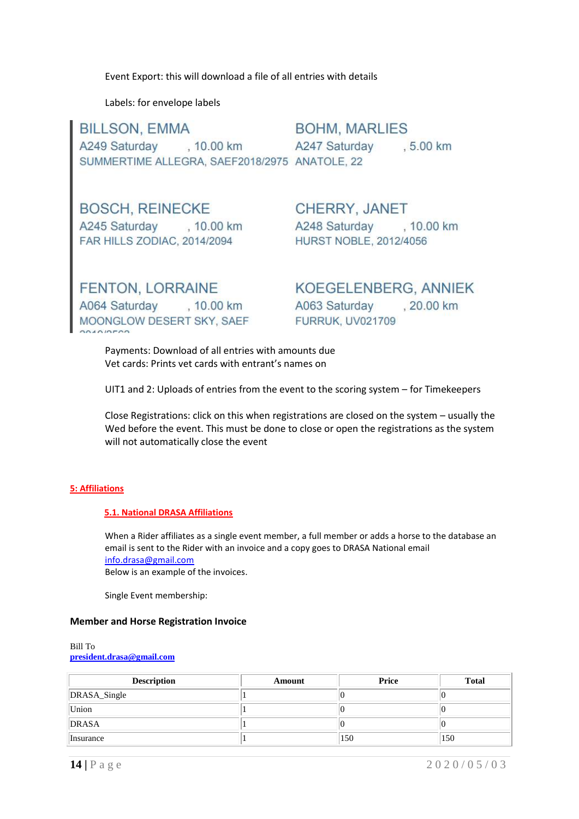Event Export: this will download a file of all entries with details

Labels: for envelope labels

**BILLSON, EMMA BOHM, MARLIES** , 10.00 km A249 Saturday A247 Saturday .5.00 km SUMMERTIME ALLEGRA, SAEF2018/2975 ANATOLE, 22

**BOSCH, REINECKE** A245 Saturday , 10.00 km FAR HILLS ZODIAC, 2014/2094

**CHERRY, JANET** A248 Saturday , 10.00 km **HURST NOBLE, 2012/4056** 

**FENTON, LORRAINE** A064 Saturday , 10.00 km MOONGLOW DESERT SKY, SAEF

KOEGELENBERG, ANNIEK .20.00 km A063 Saturday **FURRUK, UV021709** 

Payments: Download of all entries with amounts due Vet cards: Prints vet cards with entrant's names on

UIT1 and 2: Uploads of entries from the event to the scoring system – for Timekeepers

Close Registrations: click on this when registrations are closed on the system – usually the Wed before the event. This must be done to close or open the registrations as the system will not automatically close the event

#### **5: Affiliations**

#### **5.1. National DRASA Affiliations**

When a Rider affiliates as a single event member, a full member or adds a horse to the database an email is sent to the Rider with an invoice and a copy goes to DRASA National email [info.drasa@gmail.com](mailto:info.drasa@gmail.com) Below is an example of the invoices.

Single Event membership:

#### **Member and Horse Registration Invoice**

Bill To **[president.drasa@gmail.com](mailto:president.drasa@gmail.com)**

| <b>Description</b> | Amount | <b>Price</b> | <b>Total</b> |
|--------------------|--------|--------------|--------------|
| DRASA_Single       |        |              |              |
| Union              |        |              |              |
| DRASA              |        |              |              |
| Insurance          |        | 150          | 150          |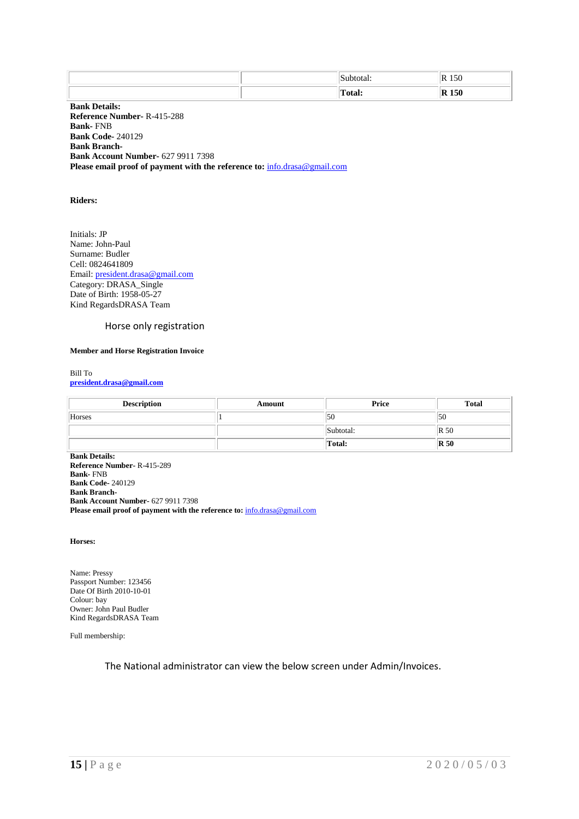|  |   | ור  |
|--|---|-----|
|  | . | - - |

**Bank Details: Reference Number-** R-415-288 **Bank-** FNB **Bank Code-** 240129 **Bank Branch-Bank Account Number-** 627 9911 7398 **Please email proof of payment with the reference to:** [info.drasa@gmail.com](mailto:info.drasa@gmail.com)

#### **Riders:**

Initials: JP Name: John-Paul Surname: Budler Cell: 0824641809 Email: [president.drasa@gmail.com](mailto:president.drasa@gmail.com) Category: DRASA\_Single Date of Birth: 1958-05-27 Kind RegardsDRASA Team

#### Horse only registration

#### **Member and Horse Registration Invoice**

Bill To **[president.drasa@gmail.com](mailto:president.drasa@gmail.com)**

| <b>Description</b> | Amount | Price     | <b>Total</b>   |
|--------------------|--------|-----------|----------------|
| Horses             |        | 50        | 50             |
|                    |        | Subtotal: | $\mathbb{R}50$ |
|                    |        | Total:    | $\mathbb{R}50$ |

**Bank Details: Reference Number-** R-415-289 **Bank-** FNB **Bank Code-** 240129 **Bank Branch-Bank Account Number-** 627 9911 7398 **Please email proof of payment with the reference to:** [info.drasa@gmail.com](mailto:info.drasa@gmail.com)

**Horses:**

Name: Pressy Passport Number: 123456 Date Of Birth 2010-10-01 Colour: bay Owner: John Paul Budler Kind RegardsDRASA Team

Full membership:

The National administrator can view the below screen under Admin/Invoices.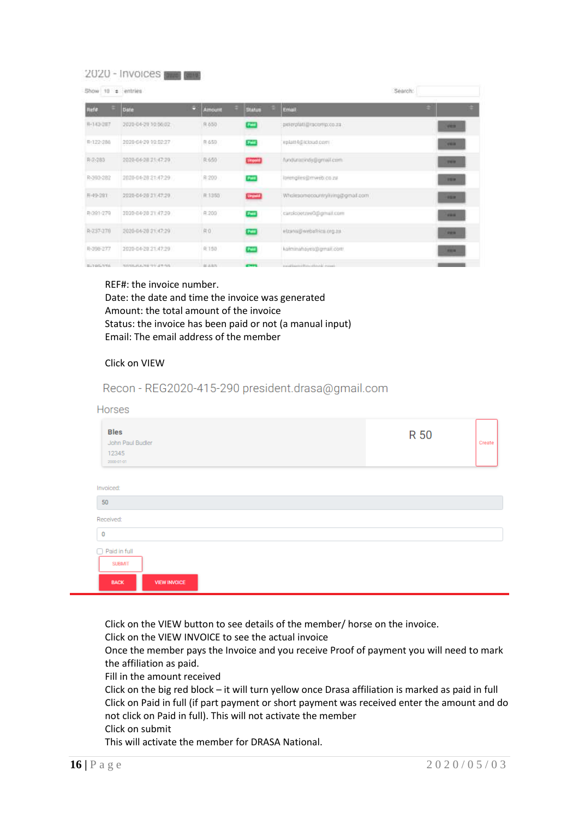#### 2020 - Invoices [2020]

| Show 10 = entries               |                                                      |    |                | Search:       |                                               |                        |
|---------------------------------|------------------------------------------------------|----|----------------|---------------|-----------------------------------------------|------------------------|
| Refe                            | bate                                                 | ÷. | Amount         | <b>Status</b> | Email                                         | $\left  \cdot \right $ |
| R-142-287                       | 2020-04-29 10:56:02                                  |    | R-650          | <b>COM</b>    | perentati@neomp.co.ra                         | <b>VER</b>             |
| R-122-286                       | 2020-04-29 10:02:27                                  |    | 8.650          | <b>Fair</b>   | eplatt4@icloud.com                            | 1979                   |
| R-2-283                         | 2020-04-28 21:47:29                                  |    | R:650          | <b>Links</b>  | fundureerindy@gmail.com                       | 1911                   |
| R-393-282                       | 2020-04-20 21:47:29                                  |    | R:200          | Paid          | lorengiles@mweb.co.zu                         | 123                    |
| H-49-381                        | 2020-04-28 31:47:29                                  |    | F 1350         | <b>Street</b> | Whitepomecountry/iving@gmail.com              | 153                    |
| R-391-279                       | 2020-04-28 31:47:29                                  |    | R.200          | <b>Full</b>   | carcicoetzeeQ@gmail.com                       | 1911                   |
| R-237-170                       | 2020-04-20 21:47:29                                  |    | R0             | Patt          | wizann@webaRrics.org.za                       | <b>PR18</b>            |
| R-398-277                       | 2020-04-20 21:47:29                                  |    | R 150          | <b>Post</b>   | kammahayeb@gmail.com                          | <b>RENT</b>            |
| Mini-The projects characterized | the stationary care and the stationary of the charge |    | Dell' an Annie |               | and addresses influenced in order as in case. |                        |

#### REF#: the invoice number.

Date: the date and time the invoice was generated Amount: the total amount of the invoice Status: the invoice has been paid or not (a manual input) Email: The email address of the member

#### Click on VIEW

| Recon - REG2020-415-290 president.drasa@gmail.com |
|---------------------------------------------------|
|                                                   |

| Horses<br><b>Bles</b><br>John Paul Budler<br>12345<br>2000-01-01                | R 50 | Create |
|---------------------------------------------------------------------------------|------|--------|
| Invoiced:<br>50<br>Received:                                                    |      |        |
| 0<br>$\Box$ Paid in full<br><b>SUBMIT</b><br><b>VIEW INVOICE</b><br><b>BACK</b> |      |        |

Click on the VIEW button to see details of the member/ horse on the invoice.

Click on the VIEW INVOICE to see the actual invoice

Once the member pays the Invoice and you receive Proof of payment you will need to mark the affiliation as paid.

Fill in the amount received

Click on the big red block – it will turn yellow once Drasa affiliation is marked as paid in full Click on Paid in full (if part payment or short payment was received enter the amount and do not click on Paid in full). This will not activate the member Click on submit

This will activate the member for DRASA National.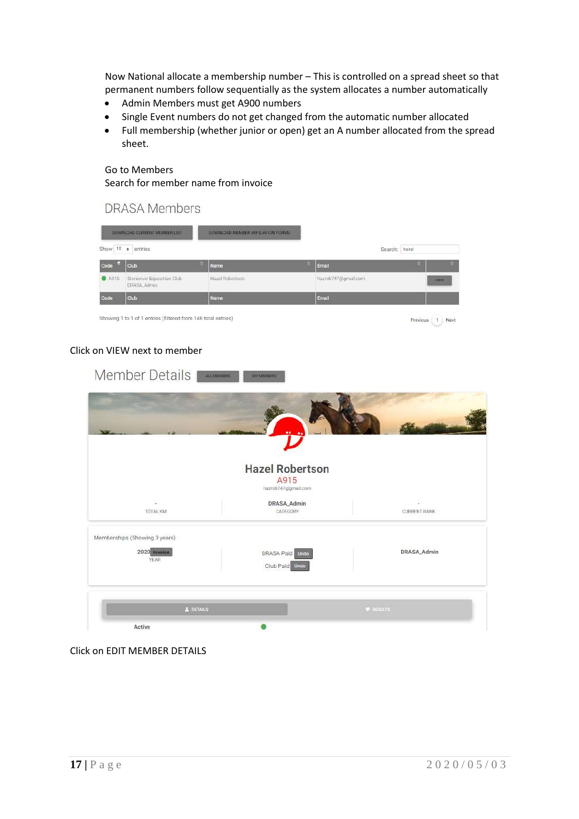Now National allocate a membership number – This is controlled on a spread sheet so that permanent numbers follow sequentially as the system allocates a number automatically

- Admin Members must get A900 numbers
- Single Event numbers do not get changed from the automatic number allocated
- Full membership (whether junior or open) get an A number allocated from the spread sheet.

# Go to Members

**DRASA Members** 

Search for member name from invoice

|               | Show 10 e entries                         |                 |                     | Search: hazel |       |
|---------------|-------------------------------------------|-----------------|---------------------|---------------|-------|
| Code          | Club                                      | Name            | Email               | ٠             | ٠     |
|               |                                           |                 |                     |               |       |
| <b>@</b> A915 | Stoneriver Equestrian Club<br>DRASA Admin | Hazel Robertson | hazrob747@gmail.com |               | VIEW. |
| Code          | <b>Club</b>                               | Name            | Email               |               |       |

# Click on VIEW next to member

| Member Details                | ALC MEMBERS<br><b>MY MEMBERS</b>  |                     |
|-------------------------------|-----------------------------------|---------------------|
|                               |                                   |                     |
|                               | <b>Hazel Robertson</b>            |                     |
|                               | A915<br>hazrob747@gmail.com       |                     |
| 8<br>TOTAL KM                 | DRASA_Admin<br>CATEGORY           | <b>CURRENT RANK</b> |
| Memberships (Showing 3 years) |                                   |                     |
| 2020 Invoice<br><b>YEAR</b>   | DRASA Paid Undo<br>Club Paid Undo | DRASA_Admin         |
| & DETAILS                     |                                   | <b>W</b> RESULTS    |
| Active                        |                                   |                     |

Click on EDIT MEMBER DETAILS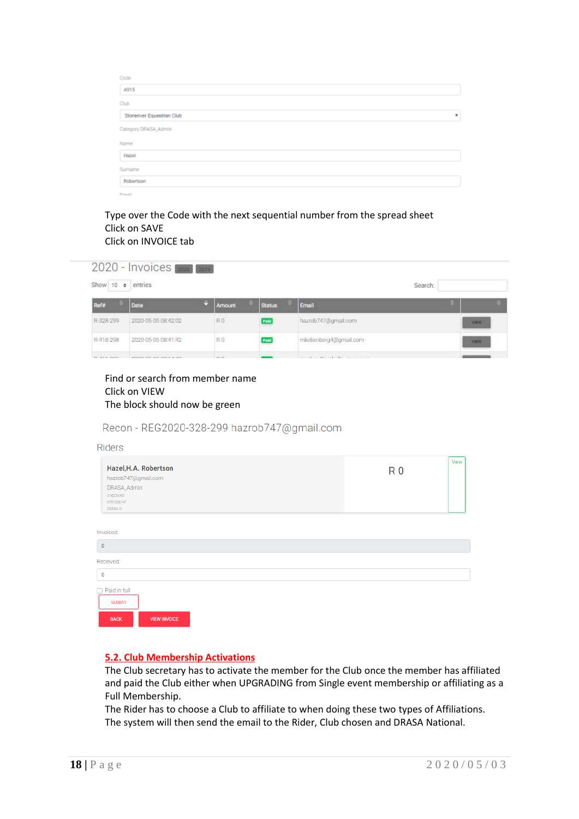| Code                        |   |
|-----------------------------|---|
| A915                        |   |
| Club                        |   |
| Stoneriver Equestrian Club  | ۰ |
| Category DRASA_Admin        |   |
| Name                        |   |
| Hazel                       |   |
| Surname                     |   |
| Robertson                   |   |
| and the control of the con- |   |

#### Type over the Code with the next sequential number from the spread sheet Click on SAVE Click on INVOICE tab



| Find or search from member name |
|---------------------------------|
| Click on VIEW                   |
| The block should now be green   |

# Recon - REG2020-328-299 hazrob747@gmail.com

| <b>Riders</b>                                                                                      |                   |
|----------------------------------------------------------------------------------------------------|-------------------|
| Hazel, H.A. Robertson<br>hazrob747@gmail.com<br>DRASA_Admin<br>514226093<br>0791258147<br>DRASA: 0 | View<br><b>R0</b> |
| Invoiced:                                                                                          |                   |
| $\bf{0}$                                                                                           |                   |
| Received:                                                                                          |                   |
| $\bf 0$                                                                                            |                   |
| Paid in full<br><b>SUBMIT</b><br><b>BACK</b><br><b>VIEW INVOICE</b>                                |                   |

# **5.2. Club Membership Activations**

The Club secretary has to activate the member for the Club once the member has affiliated and paid the Club either when UPGRADING from Single event membership or affiliating as a Full Membership.

The Rider has to choose a Club to affiliate to when doing these two types of Affiliations. The system will then send the email to the Rider, Club chosen and DRASA National.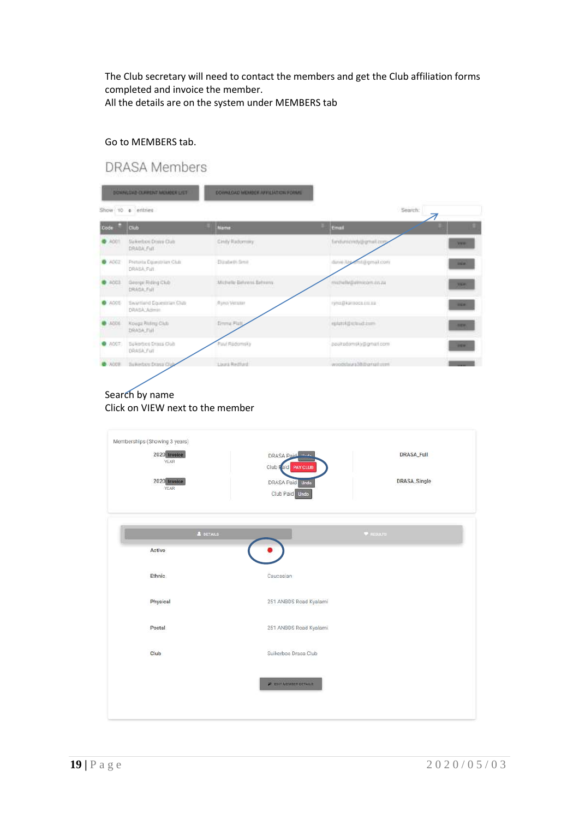The Club secretary will need to contact the members and get the Club affiliation forms completed and invoice the member. All the details are on the system under MEMBERS tab

#### Go to MEMBERS tab.

# **DRASA Members**

|               | DOWNLOAD CURRENT MEMBER LIST                                  | DOWNLOAD MEMBER AFFILIATION FORMS |                                          |             |
|---------------|---------------------------------------------------------------|-----------------------------------|------------------------------------------|-------------|
|               | Show 10 e entries                                             |                                   | Search:                                  |             |
| Code          | Club                                                          | <b>Name</b>                       | Email                                    |             |
| ADDT          | Sukerhoe Donn Club<br>DRABA, Full                             | Cinity Radomary                   | fieldunuondy@gmail.com<br>12210000000    | <b>WANT</b> |
| <b>C</b> ACC2 | Printeria Egipteminian Club<br>DRASA, Full                    | Elizabeth fimit                   | dans Are entity of com-                  | <b>BIGW</b> |
| 2001          | George Riding Club<br>DRAGK Full                              | Michelle Behrens Behrens          | matheling ethnician co. All              | <b>WEW!</b> |
| <b>0</b> ACCE | Swartfand Squeetrlan Club<br>DRAGA_Aginie                     | Ryno Vetatar                      | ryns@karooco.inc.ca                      | <b>HEM</b>  |
| 4006          | <b>INSTERNO ANNO ESPA</b><br>Kouga Riding Club<br>DRASA, Full | Einma Flätt                       | epistold/school.com<br><b>STATISTICS</b> | <b>BEW</b>  |
| 0.7007        | Sukerboo Drass Club<br>DRASA_Full                             | Paul Radomsky                     | pacitadomsky@gmarl.com                   | <b>HEW</b>  |
| $-3000$       | Suikerboy Drawa Club                                          | Livera Restrict                   | modelays 2010 and com-                   |             |

# Click on VIEW next to the member

| 2020 Invoice<br>YEAR | DRASA Paid<br>Club Faid<br>PAY CLUB | <b>DRASA_Full</b> |
|----------------------|-------------------------------------|-------------------|
| 2020 Invoice<br>YEAR | DRASA Paid Undo<br>Club Paid Undo   | DRASA_Single      |
| A DETAILS            |                                     | <b>W</b> assurts: |
| Active               |                                     |                   |
| Ethnic               | Caucasian                           |                   |
| Physical             | 251 ANBDS Road Kyalami              |                   |
| Postal               | 251 ANBDS Road Kyalami              |                   |
| Club                 | Suikerbos Drasa Club                |                   |
|                      | <b>2</b> EDIT MEMBER DETAILS        |                   |
|                      |                                     |                   |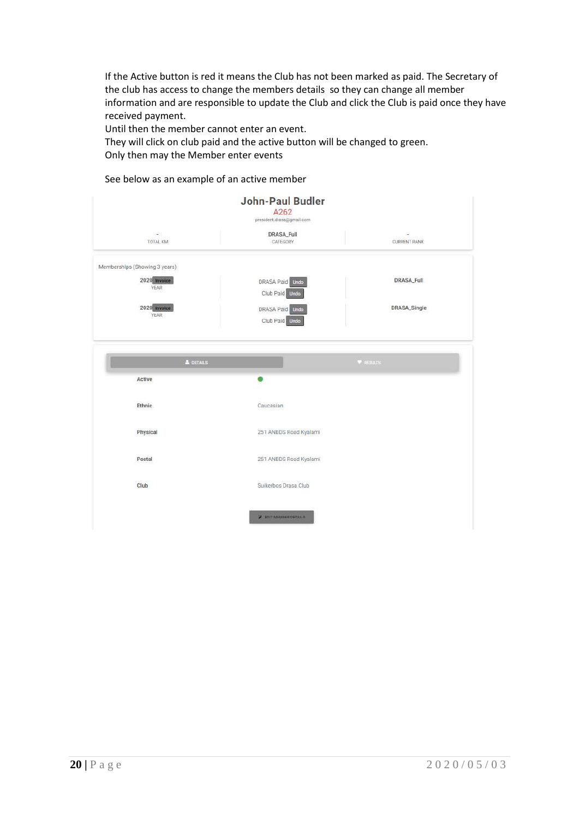If the Active button is red it means the Club has not been marked as paid. The Secretary of the club has access to change the members details so they can change all member information and are responsible to update the Club and click the Club is paid once they have received payment.

Until then the member cannot enter an event.

They will click on club paid and the active button will be changed to green. Only then may the Member enter events

#### See below as an example of an active member

|                               | <b>John-Paul Budler</b><br>A262<br>president.drasa@gmail.com |                   |
|-------------------------------|--------------------------------------------------------------|-------------------|
| $\omega$ .<br>TOTAL KM        | <b>DRASA_Full</b><br>CATEGORY                                | CURRENT RANK      |
| Memberships (Showing 3 years) |                                                              |                   |
| 2020 Invoice<br><b>YEAR</b>   | DRASA Paid Undo<br>Club Paid Undo                            | <b>DRASA_Full</b> |
| 2020 Invoice<br>YEAR          | DRASA Paid Undo<br>Club Paid Unde                            | DRASA_Single      |
|                               |                                                              |                   |
| A DETAILS                     |                                                              | <b>W</b> assuurs  |
| Active                        |                                                              |                   |
| Ethnic                        | Caucasian                                                    |                   |
| Physical                      | 251 ANBDS Road Kyalami                                       |                   |
| Postal                        | 251 ANBDS Road Kyalami                                       |                   |
| Club                          | Suikerbos Drasa Club                                         |                   |
|                               | <b>2 EDIT MEMBER DETAILS</b>                                 |                   |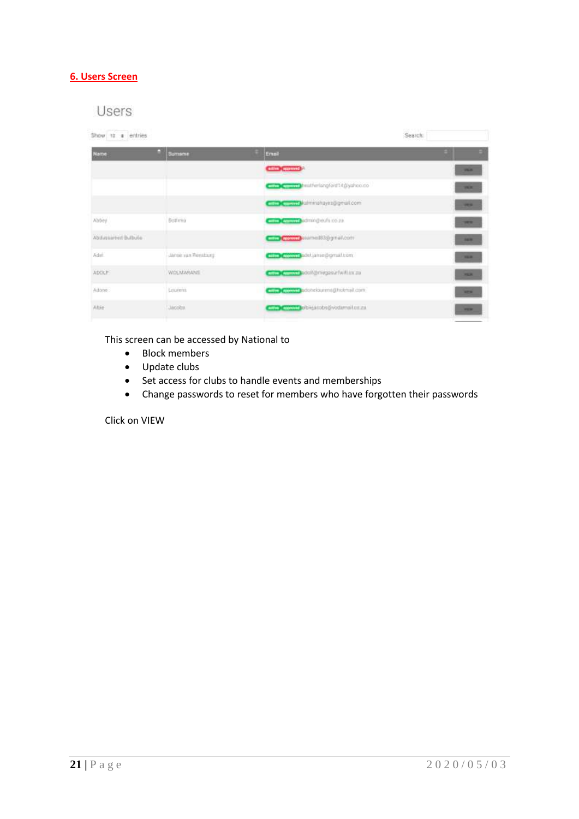# **6. Users Screen**

# Users

| Show 10 a entries     |                    |                                                                                                                                                                                                                               | Search:      |
|-----------------------|--------------------|-------------------------------------------------------------------------------------------------------------------------------------------------------------------------------------------------------------------------------|--------------|
| Name                  | œ<br><b>Somame</b> | Email                                                                                                                                                                                                                         |              |
|                       |                    | <b>CHIND CURRING</b>                                                                                                                                                                                                          | <b>WAR</b>   |
|                       |                    | heatherlangford14@yahoo.co                                                                                                                                                                                                    | <b>WILE</b>  |
|                       |                    | COCOO Malminishayes@gmail.com                                                                                                                                                                                                 | <b>THE R</b> |
| Abbey                 | Bottonia           | CDC and administration as                                                                                                                                                                                                     | <b>SER</b>   |
| Abiliativited Bulbule |                    | <b>COCOOO</b> piamed83@gmal.com                                                                                                                                                                                               | <b>MARK</b>  |
| Adult.                | Januaryan Rensburg | <b>Company's add jamesborout com-</b>                                                                                                                                                                                         | <b>HERE</b>  |
| <b>ADCILF</b>         | WOLMARANS          | competition of the control of the control of the control of the control of the control of the control of the control of the control of the control of the control of the control of the control of the control of the control | <b>HER</b>   |
| Adone:                | Lourent            | <b>CHIP Commit belong buring holmail com-</b>                                                                                                                                                                                 | <b>MER</b>   |
| Albie                 | Jacobs             | man change of the acoba@vodurnal.co.zu                                                                                                                                                                                        | <b>STER</b>  |
|                       |                    |                                                                                                                                                                                                                               |              |

This screen can be accessed by National to

- Block members
- Update clubs
- Set access for clubs to handle events and memberships
- Change passwords to reset for members who have forgotten their passwords

Click on VIEW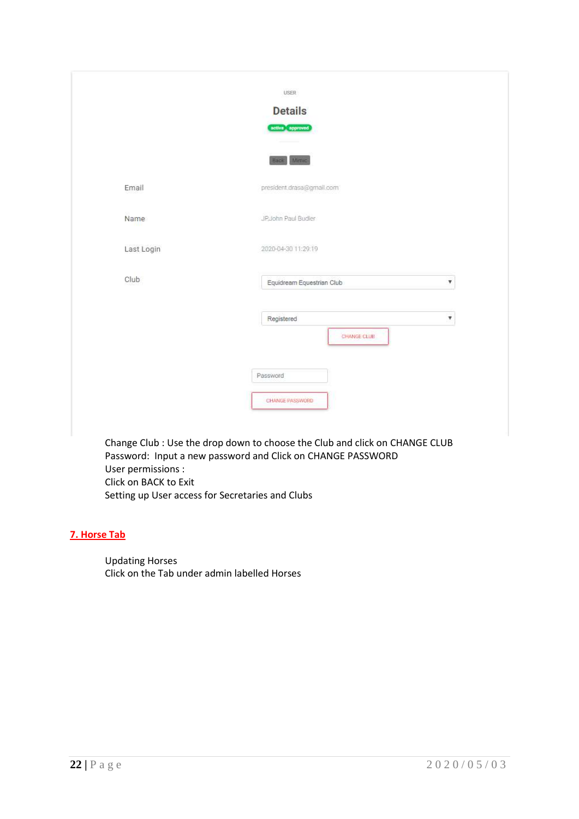|            | <b>Details</b>                 |
|------------|--------------------------------|
|            | active approved                |
|            | Back, Mimic.                   |
| Email      | president.drasa@gmail.com      |
| Name       | JP.John Paul Budler            |
| Last Login | 2020-04-30 11:29:19            |
| Club       | Equidream Equestrian Club<br>v |
|            | Registered<br>v                |
|            | CHANGE CLUB                    |
|            | Password                       |
|            | CHANGE PASSWORD                |

Change Club : Use the drop down to choose the Club and click on CHANGE CLUB Password: Input a new password and Click on CHANGE PASSWORD User permissions : Click on BACK to Exit Setting up User access for Secretaries and Clubs

# **7. Horse Tab**

Updating Horses Click on the Tab under admin labelled Horses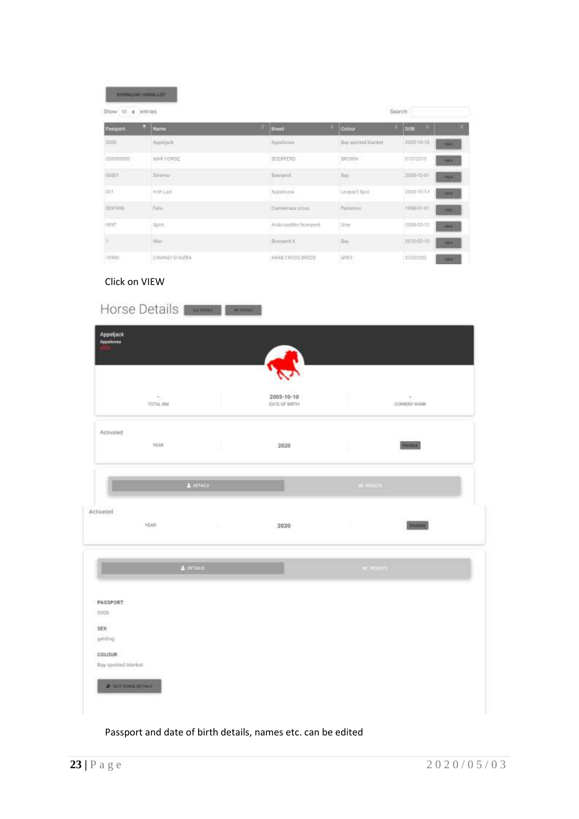|                                | DOWNLOAD HORSE LIST |                                                   |                      |                                                  |
|--------------------------------|---------------------|---------------------------------------------------|----------------------|--------------------------------------------------|
| Show 10 \$                     | Search<br>entries   |                                                   |                      |                                                  |
| Pantport                       | o<br>Name           | <b>Broad</b>                                      | Colour               | DOM                                              |
| 0000                           | Appeliack           | Appoiossa                                         | Bay spotted tranket. | $-2005 + 0 + 0$<br><b>Widow</b>                  |
| 000000000                      | WAR HORSE           | DOERPERD                                          | DROWN                | 01012010<br>-<br>nanus sue                       |
| $cos \theta$<br><b>COLLECT</b> | Shimou              | Boequint<br><b><i>Professional Profession</i></b> | $\pm a$              | <b>DESPESSION</b><br>2005-10-01<br><b>WEIGHT</b> |
| dot.                           | High Lod            | Accioloosa.<br><b>THE TRUST</b>                   | Leopard Spot.        | 2004-10-11<br><b>STER</b>                        |
| 0001004                        | Falls               | Connertura cross                                  | Palomino             | 1998-01-01<br><b>STER</b>                        |
| 0897                           | <b>Tipirri</b>      | Antiquipoder/fooerpent.                           | <b>Title</b>         | 2008-07-73<br><b>HEM</b>                         |
|                                | Max.<br>--          | Воочина X                                         | Rey                  | 2010-01-30<br><b>SEW</b><br>an sa taon           |
| 1099E                          | CRUNALS SHAZRA      | ARAB CROSS BREED                                  | 容具広す                 | 22232002<br><b>View</b>                          |

# Click on VIEW

| Appeljack<br>Appaloosa         |                    |              |                                   |              |                           |  |
|--------------------------------|--------------------|--------------|-----------------------------------|--------------|---------------------------|--|
|                                | $\sim$<br>TOTAL KW |              | 2005-10-10<br><b>GATE OF BRIN</b> |              | ÷.<br><b>CORRENT RANK</b> |  |
| Activated                      | <b>YEAR</b>        | W.           | 2020                              | U.           | <b>WWWW.</b>              |  |
|                                |                    | $4$ moves.   |                                   | $[0.01000]$  |                           |  |
| Activated                      | YEAR:              | $\mathbb{R}$ | 2020                              | $\mathbf{H}$ | Trenton                   |  |
|                                | $\triangle$ estann |              |                                   |              | <b>M</b> HOUTE            |  |
| PASSPORT<br>0000               |                    |              |                                   |              |                           |  |
| SEX<br>gelding                 |                    |              |                                   |              |                           |  |
| COLOUR<br>Bay spotted blanker. |                    |              |                                   |              |                           |  |
| <b>A ROTHERN BULLET</b>        |                    |              |                                   |              |                           |  |

Passport and date of birth details, names etc. can be edited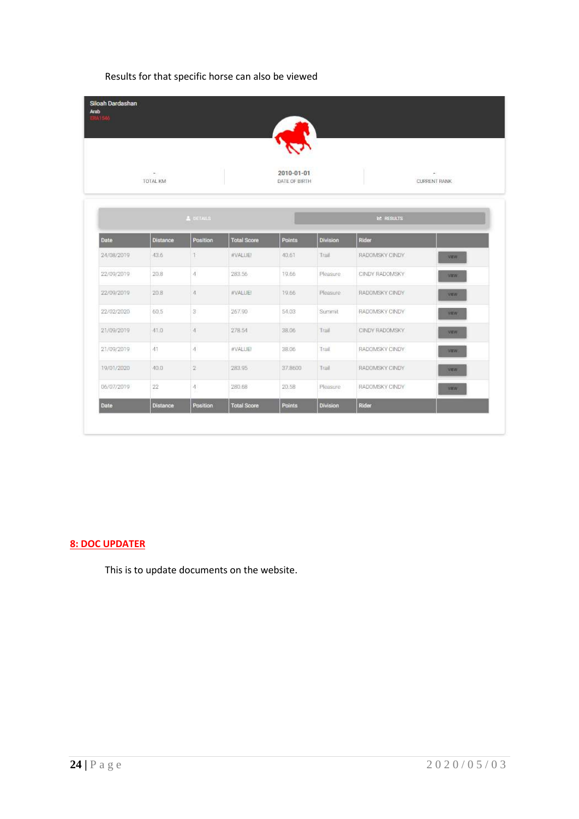| Results for that specific horse can also be viewed |  |  |  |  |  |  |  |  |
|----------------------------------------------------|--|--|--|--|--|--|--|--|
|----------------------------------------------------|--|--|--|--|--|--|--|--|

| ERA1546     |                 |                  |                    |                             |                 |                  |                     |
|-------------|-----------------|------------------|--------------------|-----------------------------|-----------------|------------------|---------------------|
|             | TOTAL KM        |                  |                    | 2010-01-01<br>DATE OF BIRTH |                 |                  | <b>CURRENT RANK</b> |
|             |                 | <b>A</b> DETAILS |                    |                             |                 | <b>E</b> RESULTS |                     |
| <b>Date</b> | <b>Distance</b> | <b>Position</b>  | <b>Total Score</b> | Points                      | <b>Division</b> | Rider            |                     |
| 24/08/2019  | 43.6            | T.               | #VALUE!            | 40.61                       | Trail           | RADOMSKY CINDY   | <b>VEW</b>          |
| 22/09/2019  | 20.8            | 4                | 283.56             | 19.66                       | Pleasure        | CINDY RADOMSKY   | VEW.                |
| 22/09/2019  | 20.8            | 4                | #VALUE!            | 19.66                       | Pleasure        | RADOMSKY CINDY   | <b>VEW</b>          |
| 22/02/2020  | 60.5            | 3                | 267.90             | 54.03                       | Summit          | RADOMSKY CINDY   | <b>YEW</b>          |
| 21/09/2019  | 41.0            | 4                | 278.54             | 38.06                       | Trail           | CINDY RADOMSKY   | <b>VEW</b>          |
| 21/09/2019  | 41              | 4                | #VALUE!            | 38.06                       | Trail           | RADOMSKY CINDY   | VEW/                |
| 19/01/2020  | 40.0            | 2                | 283.95             | 37,8600                     | Trail.          | RADOMSKY CINDY   | <b>VEW</b>          |
| 06/07/2019  | $22\,$          | 4                | 280.68             | 20.58                       | Pleasure        | RADOMSKY CINDY   | <b>YEW</b>          |
| Date        | <b>Distance</b> | Position         | <b>Total Score</b> | Points                      | Division        | Rider            |                     |

# **8: DOC UPDATER**

This is to update documents on the website.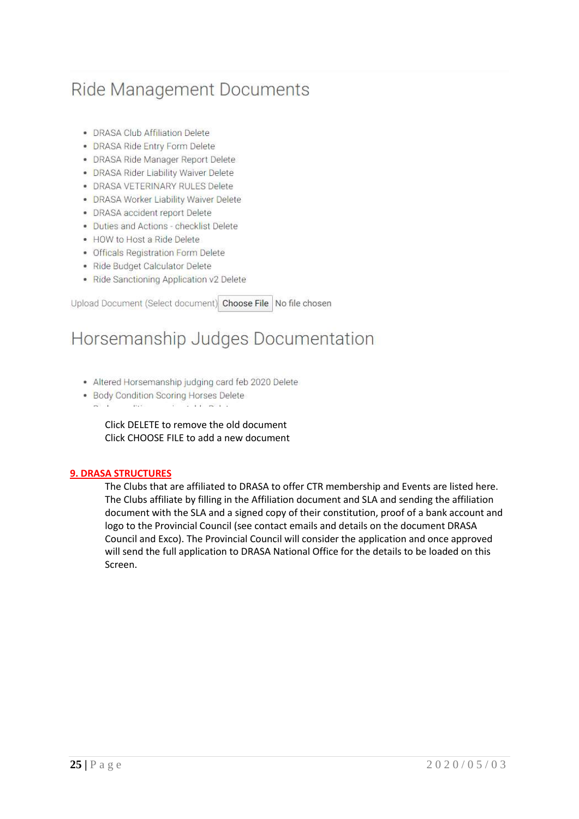# Ride Management Documents

- · DRASA Club Affiliation Delete
- · DRASA Ride Entry Form Delete
- · DRASA Ride Manager Report Delete
- DRASA Rider Liability Waiver Delete
- · DRASA VETERINARY RULES Delete
- · DRASA Worker Liability Waiver Delete
- DRASA accident report Delete
- · Duties and Actions checklist Delete
- HOW to Host a Ride Delete
- · Officals Registration Form Delete
- · Ride Budget Calculator Delete
- · Ride Sanctioning Application v2 Delete

Upload Document (Select document) Choose File | No file chosen

# Horsemanship Judges Documentation

- · Altered Horsemanship judging card feb 2020 Delete
- Body Condition Scoring Horses Delete
- $m = 1$  $11.1 - 1.1$ *CONTRACTOR*

Click DELETE to remove the old document Click CHOOSE FILE to add a new document

#### **9. DRASA STRUCTURES**

The Clubs that are affiliated to DRASA to offer CTR membership and Events are listed here. The Clubs affiliate by filling in the Affiliation document and SLA and sending the affiliation document with the SLA and a signed copy of their constitution, proof of a bank account and logo to the Provincial Council (see contact emails and details on the document DRASA Council and Exco). The Provincial Council will consider the application and once approved will send the full application to DRASA National Office for the details to be loaded on this Screen.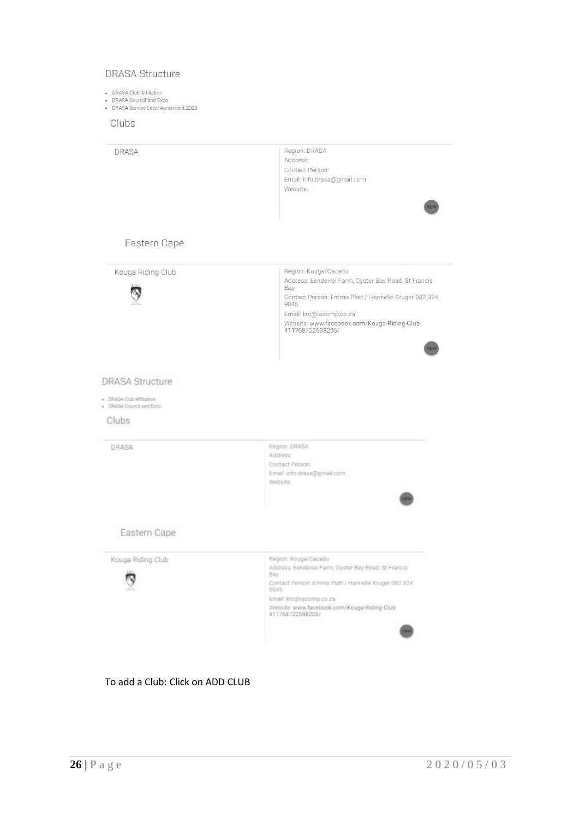#### **DRASA Structure**

- 
- DRASA Club Affiliation<br>- DRASA Council and Exco<br>- DRASA Service Level Agreement 2020

Clubs

|                                                                                          | Region: DRASA<br>Address:<br>Contact Person:<br>Email: info.drasa@gmail.com<br>Website:<br>VIEW                                                                                                                                                            |
|------------------------------------------------------------------------------------------|------------------------------------------------------------------------------------------------------------------------------------------------------------------------------------------------------------------------------------------------------------|
| Eastern Cape                                                                             |                                                                                                                                                                                                                                                            |
| Kouga Riding Club                                                                        | Region: Kouga/Cacadu<br>Address: Eendevlei Farm, Oyster Bay Road, St Francis<br>Bay<br>Contact Person: Emma Platt / Hannelie Kruger 082 324<br>9045<br>Email: krc@racomp.co.za<br>Website: www.facebook.com/Kouga-Riding-Club-<br>411768722598205/<br>VIEW |
| <b>DRASA Structure</b><br>· DRASA Club Affiliation<br>· DRASA Council and Exce-<br>Clubs |                                                                                                                                                                                                                                                            |
|                                                                                          |                                                                                                                                                                                                                                                            |
| DRASA                                                                                    | Region: DRASA<br>Address:<br>Contact Person:<br>Email: info.draisa@gmail.com<br>Website:                                                                                                                                                                   |
| Eastern Cape                                                                             |                                                                                                                                                                                                                                                            |

# To add a Club: Click on ADD CLUB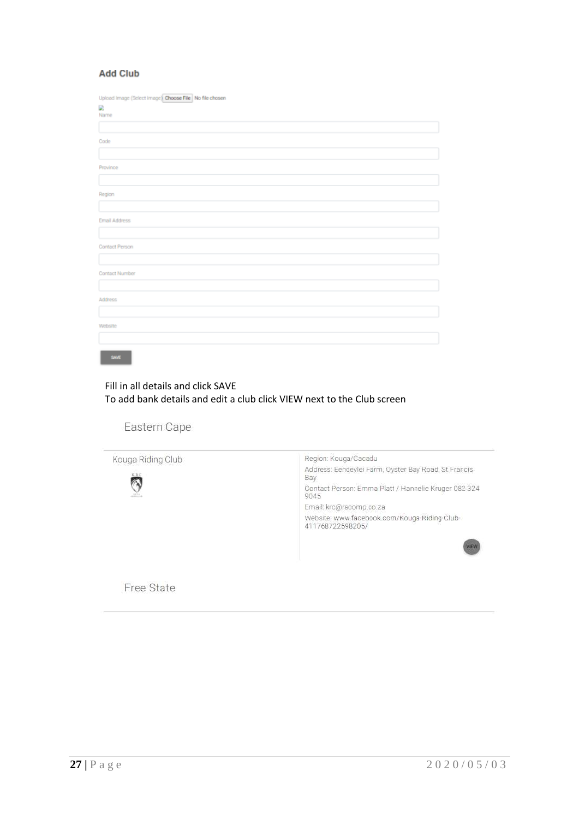#### **Add Club**

| Upload Image (Select Image) Choose File No file chosen |
|--------------------------------------------------------|
| D)                                                     |
| Name                                                   |
|                                                        |
| Code                                                   |
|                                                        |
| Province                                               |
|                                                        |
| Region                                                 |
|                                                        |
| <b>Email Address</b>                                   |
|                                                        |
| Contact Person                                         |
|                                                        |
| Contact Number                                         |
|                                                        |
| Address                                                |
|                                                        |
| Website                                                |
|                                                        |
|                                                        |

# Fill in all details and click SAVE To add bank details and edit a club click VIEW next to the Club screen

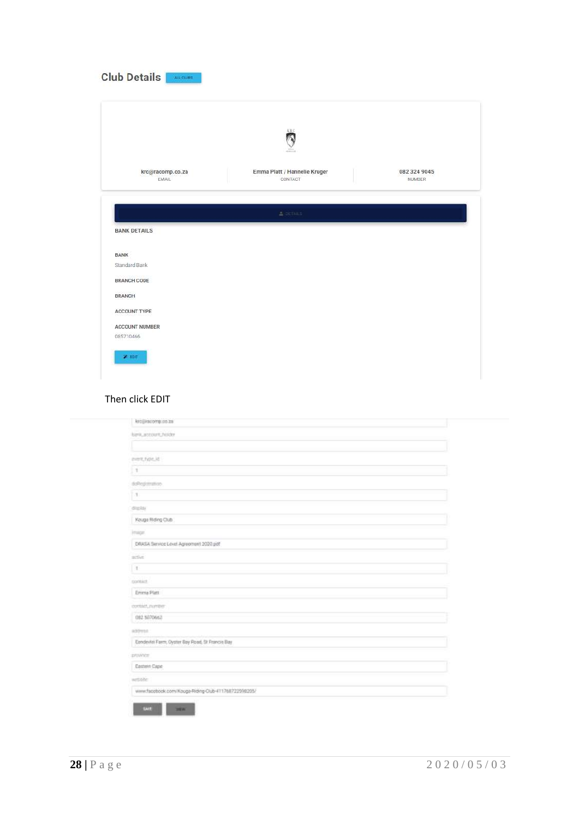|                                       | ä                                       |                        |
|---------------------------------------|-----------------------------------------|------------------------|
| krc@racomp.co.za<br>EMAIL             | Emma Platt / Hannelie Kruger<br>CONTACT | 082 324 9045<br>NUMBER |
|                                       | & SETAILS                               |                        |
| <b>BANK DETAILS</b>                   |                                         |                        |
| <b>BANK</b>                           |                                         |                        |
| Standard Bank                         |                                         |                        |
|                                       |                                         |                        |
| <b>BRANCH CODE</b>                    |                                         |                        |
| <b>BRANCH</b>                         |                                         |                        |
|                                       |                                         |                        |
| <b>ACCOUNT TYPE</b><br>ACCOUNT NUMBER |                                         |                        |

#### Then click EDIT

| kro@inscomp.co.za                                   |  |
|-----------------------------------------------------|--|
|                                                     |  |
| <b>Bank account holder</b>                          |  |
|                                                     |  |
| event have little                                   |  |
| $\pm$                                               |  |
| d:Regimmon                                          |  |
| $\mathcal{X}$                                       |  |
| digital                                             |  |
| Kouge Riding Club                                   |  |
| image.                                              |  |
| DRASA Service Lovel Agreement 2020 pot              |  |
| active.                                             |  |
| $\mathbb{R}$                                        |  |
| contact.                                            |  |
| Emma Platt                                          |  |
| oyntact, nymper                                     |  |
| <b>Control Board</b><br>082 5070662                 |  |
| appens.                                             |  |
| Enndevisi Farm, Oyster Bay Road, St Francis Bay     |  |
| provoce                                             |  |
| Eastern Cape                                        |  |
| writer                                              |  |
| www.facebook.com/Kouga-Riding-Club-411768722998205/ |  |
| LAVE<br><b>WEL</b>                                  |  |